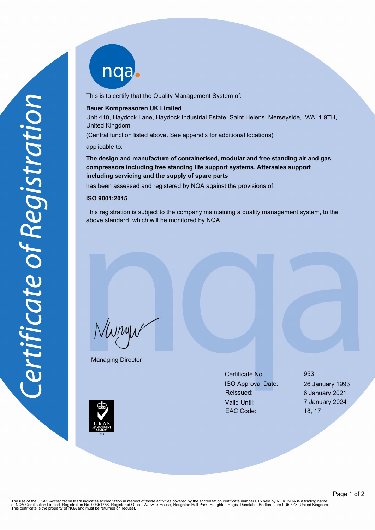nqab

This is to certify that the Quality Management System of:

#### **Bauer Kompressoren UK Limited**

Unit 410, Haydock Lane, Haydock Industrial Estate, Saint Helens, Merseyside, WA11 9TH, United Kingdom

(Central function listed above. See appendix for additional locations)

applicable to:

**The design and manufacture of containerised, modular and free standing air and gas compressors including free standing life support systems. Aftersales support including servicing and the supply of spare parts**

has been assessed and registered by NQA against the provisions of:

# **ISO 9001:2015**

This registration is subject to the company maintaining a quality management system, to the above standard, which will be monitored by NQA

NWnyw

Managing Director

Certificate No. 953 ISO Approval Date: 26 January 1993 Reissued: 6 January 2021 Valid Until: 7 January 2024 EAC Code: 18, 17